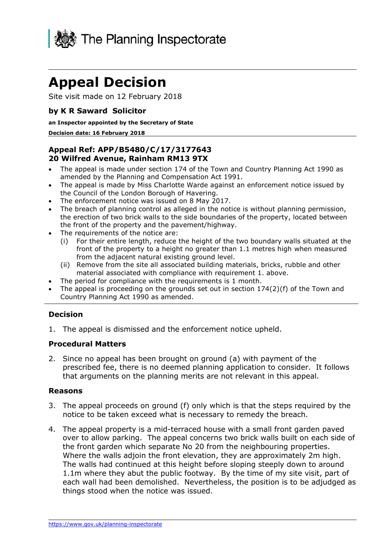

# **Appeal Decision**

Site visit made on 12 February 2018

# **by K R Saward Solicitor**

#### **an Inspector appointed by the Secretary of State**

#### **Decision date: 16 February 2018**

## **Appeal Ref: APP/B5480/C/17/3177643 20 Wilfred Avenue, Rainham RM13 9TX**

- The appeal is made under section 174 of the Town and Country Planning Act 1990 as amended by the Planning and Compensation Act 1991.
- The appeal is made by Miss Charlotte Warde against an enforcement notice issued by the Council of the London Borough of Havering.
- The enforcement notice was issued on 8 May 2017.
- The breach of planning control as alleged in the notice is without planning permission, the erection of two brick walls to the side boundaries of the property, located between the front of the property and the pavement/highway.
- The requirements of the notice are:
	- (i) For their entire length, reduce the height of the two boundary walls situated at the front of the property to a height no greater than 1.1 metres high when measured from the adjacent natural existing ground level.
	- (ii) Remove from the site all associated building materials, bricks, rubble and other material associated with compliance with requirement 1. above.
- The period for compliance with the requirements is 1 month.
- The appeal is proceeding on the grounds set out in section 174(2)(f) of the Town and Country Planning Act 1990 as amended.

# **Decision**

1. The appeal is dismissed and the enforcement notice upheld.

### **Procedural Matters**

2. Since no appeal has been brought on ground (a) with payment of the prescribed fee, there is no deemed planning application to consider. It follows that arguments on the planning merits are not relevant in this appeal.

### **Reasons**

- 3. The appeal proceeds on ground (f) only which is that the steps required by the notice to be taken exceed what is necessary to remedy the breach.
- 4. The appeal property is a mid-terraced house with a small front garden paved over to allow parking. The appeal concerns two brick walls built on each side of the front garden which separate No 20 from the neighbouring properties. Where the walls adjoin the front elevation, they are approximately 2m high. The walls had continued at this height before sloping steeply down to around 1.1m where they abut the public footway. By the time of my site visit, part of each wall had been demolished. Nevertheless, the position is to be adjudged as things stood when the notice was issued.